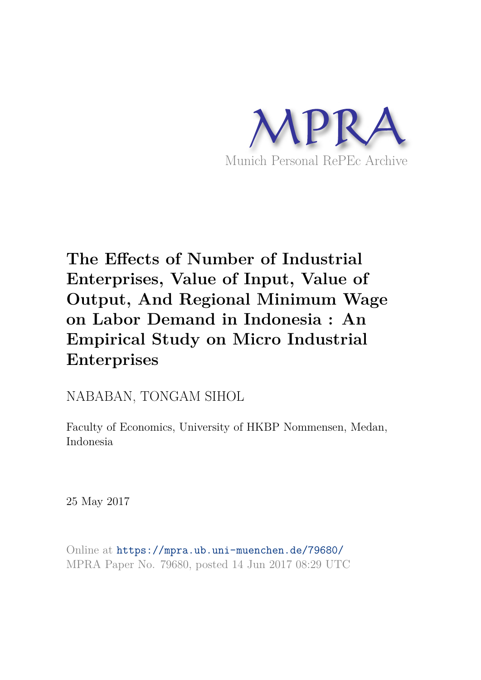

# **The Effects of Number of Industrial Enterprises, Value of Input, Value of Output, And Regional Minimum Wage on Labor Demand in Indonesia : An Empirical Study on Micro Industrial Enterprises**

## NABABAN, TONGAM SIHOL

Faculty of Economics, University of HKBP Nommensen, Medan, Indonesia

25 May 2017

Online at https://mpra.ub.uni-muenchen.de/79680/ MPRA Paper No. 79680, posted 14 Jun 2017 08:29 UTC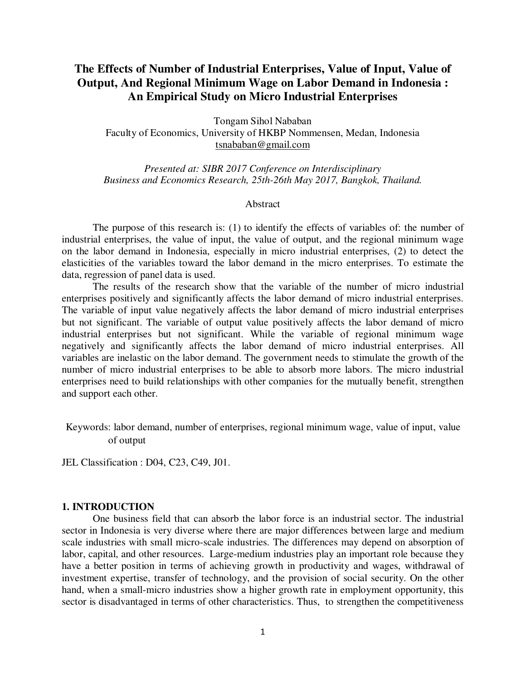### **The Effects of Number of Industrial Enterprises, Value of Input, Value of Output, And Regional Minimum Wage on Labor Demand in Indonesia : An Empirical Study on Micro Industrial Enterprises**

Tongam Sihol Nababan Faculty of Economics, University of HKBP Nommensen, Medan, Indonesia tsnababan@gmail.com

*Presented at: SIBR 2017 Conference on Interdisciplinary Business and Economics Research, 25th-26th May 2017, Bangkok, Thailand.*

#### Abstract

The purpose of this research is: (1) to identify the effects of variables of: the number of industrial enterprises, the value of input, the value of output, and the regional minimum wage on the labor demand in Indonesia, especially in micro industrial enterprises, (2) to detect the elasticities of the variables toward the labor demand in the micro enterprises. To estimate the data, regression of panel data is used.

The results of the research show that the variable of the number of micro industrial enterprises positively and significantly affects the labor demand of micro industrial enterprises. The variable of input value negatively affects the labor demand of micro industrial enterprises but not significant. The variable of output value positively affects the labor demand of micro industrial enterprises but not significant. While the variable of regional minimum wage negatively and significantly affects the labor demand of micro industrial enterprises. All variables are inelastic on the labor demand. The government needs to stimulate the growth of the number of micro industrial enterprises to be able to absorb more labors. The micro industrial enterprises need to build relationships with other companies for the mutually benefit, strengthen and support each other.

Keywords: labor demand, number of enterprises, regional minimum wage, value of input, value of output

JEL Classification : D04, C23, C49, J01.

#### **1. INTRODUCTION**

One business field that can absorb the labor force is an industrial sector. The industrial sector in Indonesia is very diverse where there are major differences between large and medium scale industries with small micro-scale industries. The differences may depend on absorption of labor, capital, and other resources. Large-medium industries play an important role because they have a better position in terms of achieving growth in productivity and wages, withdrawal of investment expertise, transfer of technology, and the provision of social security. On the other hand, when a small-micro industries show a higher growth rate in employment opportunity, this sector is disadvantaged in terms of other characteristics. Thus, to strengthen the competitiveness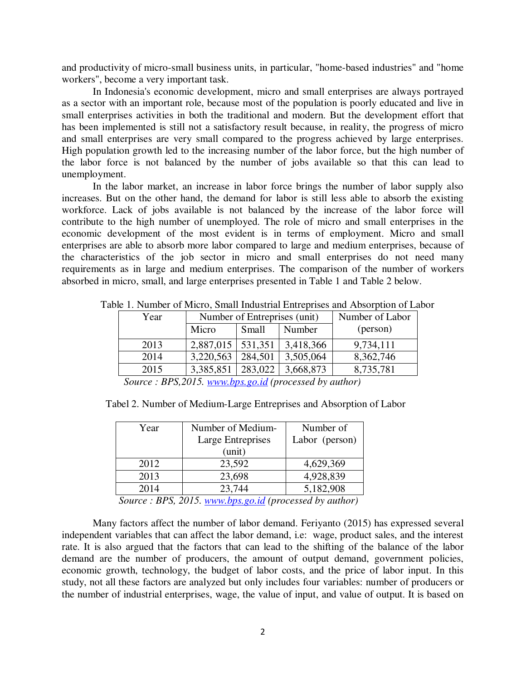and productivity of micro-small business units, in particular, "home-based industries" and "home workers", become a very important task.

In Indonesia's economic development, micro and small enterprises are always portrayed as a sector with an important role, because most of the population is poorly educated and live in small enterprises activities in both the traditional and modern. But the development effort that has been implemented is still not a satisfactory result because, in reality, the progress of micro and small enterprises are very small compared to the progress achieved by large enterprises. High population growth led to the increasing number of the labor force, but the high number of the labor force is not balanced by the number of jobs available so that this can lead to unemployment.

In the labor market, an increase in labor force brings the number of labor supply also increases. But on the other hand, the demand for labor is still less able to absorb the existing workforce. Lack of jobs available is not balanced by the increase of the labor force will contribute to the high number of unemployed. The role of micro and small enterprises in the economic development of the most evident is in terms of employment. Micro and small enterprises are able to absorb more labor compared to large and medium enterprises, because of the characteristics of the job sector in micro and small enterprises do not need many requirements as in large and medium enterprises. The comparison of the number of workers absorbed in micro, small, and large enterprises presented in Table 1 and Table 2 below.

| Year | Number of Entreprises (unit) |         |           | Number of Labor |
|------|------------------------------|---------|-----------|-----------------|
|      | Micro                        | Small   | Number    | (person)        |
| 2013 | 2,887,015   531,351          |         | 3,418,366 | 9,734,111       |
| 2014 | 3,220,563                    | 284,501 | 3,505,064 | 8,362,746       |
| 2015 | 3,385,851                    | 283,022 | 3,668,873 | 8,735,781       |

Table 1. Number of Micro, Small Industrial Entreprises and Absorption of Labor

 *Source : BPS,2015. www.bps.go.id (processed by author)* 

Tabel 2. Number of Medium-Large Entreprises and Absorption of Labor

| Year | Number of Medium-                                                                | Number of      |
|------|----------------------------------------------------------------------------------|----------------|
|      | Large Entreprises                                                                | Labor (person) |
|      | (unit)                                                                           |                |
| 2012 | 23,592                                                                           | 4,629,369      |
| 2013 | 23,698                                                                           | 4,928,839      |
| 2014 | 23,744                                                                           | 5,182,908      |
|      | $S_{\alpha\mu\nu\alpha\alpha}$ , DDC 2015, unus hps as id (presented by surface) |                |

 *Source : BPS, 2015. www.bps.go.id (processed by author)* 

Many factors affect the number of labor demand. Feriyanto (2015) has expressed several independent variables that can affect the labor demand, i.e: wage, product sales, and the interest rate. It is also argued that the factors that can lead to the shifting of the balance of the labor demand are the number of producers, the amount of output demand, government policies, economic growth, technology, the budget of labor costs, and the price of labor input. In this study, not all these factors are analyzed but only includes four variables: number of producers or the number of industrial enterprises, wage, the value of input, and value of output. It is based on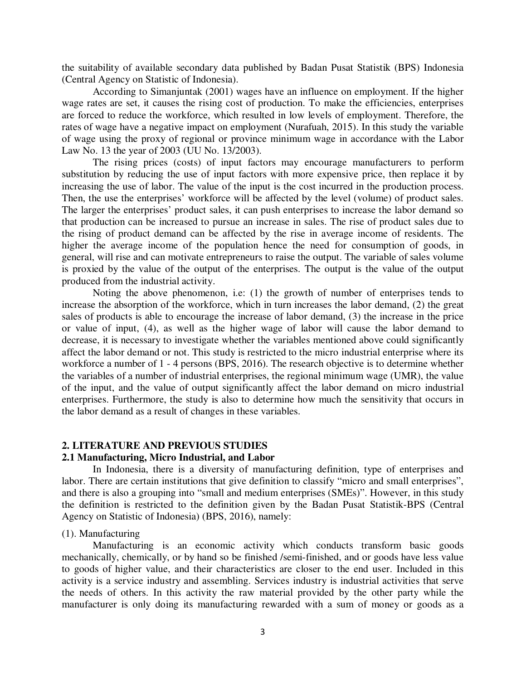the suitability of available secondary data published by Badan Pusat Statistik (BPS) Indonesia (Central Agency on Statistic of Indonesia).

According to Simanjuntak (2001) wages have an influence on employment. If the higher wage rates are set, it causes the rising cost of production. To make the efficiencies, enterprises are forced to reduce the workforce, which resulted in low levels of employment. Therefore, the rates of wage have a negative impact on employment (Nurafuah, 2015). In this study the variable of wage using the proxy of regional or province minimum wage in accordance with the Labor Law No. 13 the year of 2003 (UU No. 13/2003).

The rising prices (costs) of input factors may encourage manufacturers to perform substitution by reducing the use of input factors with more expensive price, then replace it by increasing the use of labor. The value of the input is the cost incurred in the production process. Then, the use the enterprises' workforce will be affected by the level (volume) of product sales. The larger the enterprises' product sales, it can push enterprises to increase the labor demand so that production can be increased to pursue an increase in sales. The rise of product sales due to the rising of product demand can be affected by the rise in average income of residents. The higher the average income of the population hence the need for consumption of goods, in general, will rise and can motivate entrepreneurs to raise the output. The variable of sales volume is proxied by the value of the output of the enterprises. The output is the value of the output produced from the industrial activity.

Noting the above phenomenon, i.e: (1) the growth of number of enterprises tends to increase the absorption of the workforce, which in turn increases the labor demand, (2) the great sales of products is able to encourage the increase of labor demand, (3) the increase in the price or value of input, (4), as well as the higher wage of labor will cause the labor demand to decrease, it is necessary to investigate whether the variables mentioned above could significantly affect the labor demand or not. This study is restricted to the micro industrial enterprise where its workforce a number of 1 - 4 persons (BPS, 2016). The research objective is to determine whether the variables of a number of industrial enterprises, the regional minimum wage (UMR), the value of the input, and the value of output significantly affect the labor demand on micro industrial enterprises. Furthermore, the study is also to determine how much the sensitivity that occurs in the labor demand as a result of changes in these variables.

#### **2. LITERATURE AND PREVIOUS STUDIES**

#### **2.1 Manufacturing, Micro Industrial, and Labor**

In Indonesia, there is a diversity of manufacturing definition, type of enterprises and labor. There are certain institutions that give definition to classify "micro and small enterprises", and there is also a grouping into "small and medium enterprises (SMEs)". However, in this study the definition is restricted to the definition given by the Badan Pusat Statistik-BPS (Central Agency on Statistic of Indonesia) (BPS, 2016), namely:

#### (1). Manufacturing

Manufacturing is an economic activity which conducts transform basic goods mechanically, chemically, or by hand so be finished /semi-finished, and or goods have less value to goods of higher value, and their characteristics are closer to the end user. Included in this activity is a service industry and assembling. Services industry is industrial activities that serve the needs of others. In this activity the raw material provided by the other party while the manufacturer is only doing its manufacturing rewarded with a sum of money or goods as a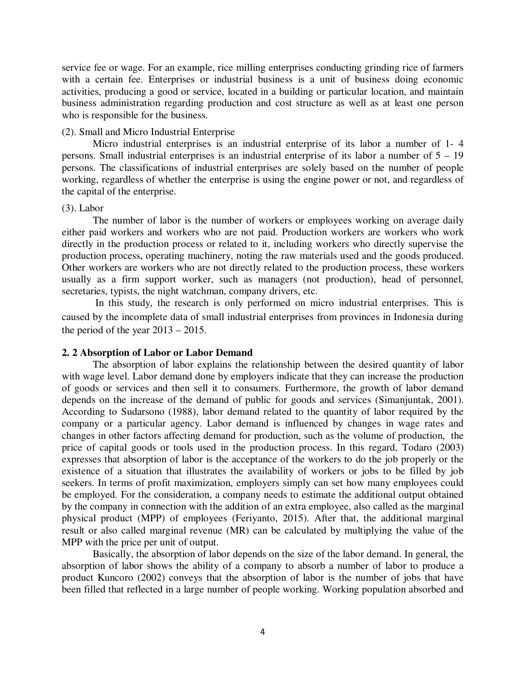service fee or wage. For an example, rice milling enterprises conducting grinding rice of farmers with a certain fee. Enterprises or industrial business is a unit of business doing economic activities, producing a good or service, located in a building or particular location, and maintain business administration regarding production and cost structure as well as at least one person who is responsible for the business.

#### (2). Small and Micro Industrial Enterprise

Micro industrial enterprises is an industrial enterprise of its labor a number of 1- 4 persons. Small industrial enterprises is an industrial enterprise of its labor a number of 5 – 19 persons. The classifications of industrial enterprises are solely based on the number of people working, regardless of whether the enterprise is using the engine power or not, and regardless of the capital of the enterprise.

#### (3). Labor

The number of labor is the number of workers or employees working on average daily either paid workers and workers who are not paid. Production workers are workers who work directly in the production process or related to it, including workers who directly supervise the production process, operating machinery, noting the raw materials used and the goods produced. Other workers are workers who are not directly related to the production process, these workers usually as a firm support worker, such as managers (not production), head of personnel, secretaries, typists, the night watchman, company drivers, etc.

 In this study, the research is only performed on micro industrial enterprises. This is caused by the incomplete data of small industrial enterprises from provinces in Indonesia during the period of the year 2013 – 2015.

#### **2. 2 Absorption of Labor or Labor Demand**

The absorption of labor explains the relationship between the desired quantity of labor with wage level. Labor demand done by employers indicate that they can increase the production of goods or services and then sell it to consumers. Furthermore, the growth of labor demand depends on the increase of the demand of public for goods and services (Simanjuntak, 2001). According to Sudarsono (1988), labor demand related to the quantity of labor required by the company or a particular agency. Labor demand is influenced by changes in wage rates and changes in other factors affecting demand for production, such as the volume of production, the price of capital goods or tools used in the production process. In this regard, Todaro (2003) expresses that absorption of labor is the acceptance of the workers to do the job properly or the existence of a situation that illustrates the availability of workers or jobs to be filled by job seekers. In terms of profit maximization, employers simply can set how many employees could be employed. For the consideration, a company needs to estimate the additional output obtained by the company in connection with the addition of an extra employee, also called as the marginal physical product (MPP) of employees (Feriyanto, 2015). After that, the additional marginal result or also called marginal revenue (MR) can be calculated by multiplying the value of the MPP with the price per unit of output.

Basically, the absorption of labor depends on the size of the labor demand. In general, the absorption of labor shows the ability of a company to absorb a number of labor to produce a product Kuncoro (2002) conveys that the absorption of labor is the number of jobs that have been filled that reflected in a large number of people working. Working population absorbed and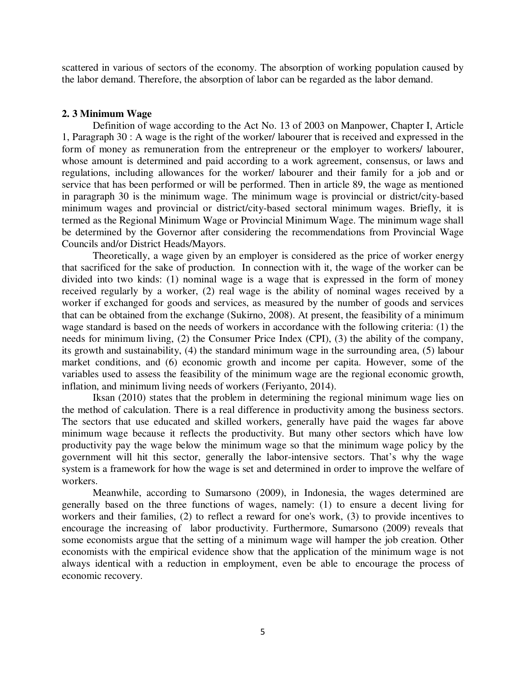scattered in various of sectors of the economy. The absorption of working population caused by the labor demand. Therefore, the absorption of labor can be regarded as the labor demand.

#### **2. 3 Minimum Wage**

Definition of wage according to the Act No. 13 of 2003 on Manpower, Chapter I, Article 1, Paragraph 30 : A wage is the right of the worker/ labourer that is received and expressed in the form of money as remuneration from the entrepreneur or the employer to workers/ labourer, whose amount is determined and paid according to a work agreement, consensus, or laws and regulations, including allowances for the worker/ labourer and their family for a job and or service that has been performed or will be performed. Then in article 89, the wage as mentioned in paragraph 30 is the minimum wage. The minimum wage is provincial or district/city-based minimum wages and provincial or district/city-based sectoral minimum wages. Briefly, it is termed as the Regional Minimum Wage or Provincial Minimum Wage. The minimum wage shall be determined by the Governor after considering the recommendations from Provincial Wage Councils and/or District Heads/Mayors.

Theoretically, a wage given by an employer is considered as the price of worker energy that sacrificed for the sake of production. In connection with it, the wage of the worker can be divided into two kinds: (1) nominal wage is a wage that is expressed in the form of money received regularly by a worker, (2) real wage is the ability of nominal wages received by a worker if exchanged for goods and services, as measured by the number of goods and services that can be obtained from the exchange (Sukirno, 2008). At present, the feasibility of a minimum wage standard is based on the needs of workers in accordance with the following criteria: (1) the needs for minimum living, (2) the Consumer Price Index (CPI), (3) the ability of the company, its growth and sustainability, (4) the standard minimum wage in the surrounding area, (5) labour market conditions, and (6) economic growth and income per capita. However, some of the variables used to assess the feasibility of the minimum wage are the regional economic growth, inflation, and minimum living needs of workers (Feriyanto, 2014).

Iksan (2010) states that the problem in determining the regional minimum wage lies on the method of calculation. There is a real difference in productivity among the business sectors. The sectors that use educated and skilled workers, generally have paid the wages far above minimum wage because it reflects the productivity. But many other sectors which have low productivity pay the wage below the minimum wage so that the minimum wage policy by the government will hit this sector, generally the labor-intensive sectors. That's why the wage system is a framework for how the wage is set and determined in order to improve the welfare of workers.

Meanwhile, according to Sumarsono (2009), in Indonesia, the wages determined are generally based on the three functions of wages, namely: (1) to ensure a decent living for workers and their families, (2) to reflect a reward for one's work, (3) to provide incentives to encourage the increasing of labor productivity. Furthermore, Sumarsono (2009) reveals that some economists argue that the setting of a minimum wage will hamper the job creation. Other economists with the empirical evidence show that the application of the minimum wage is not always identical with a reduction in employment, even be able to encourage the process of economic recovery.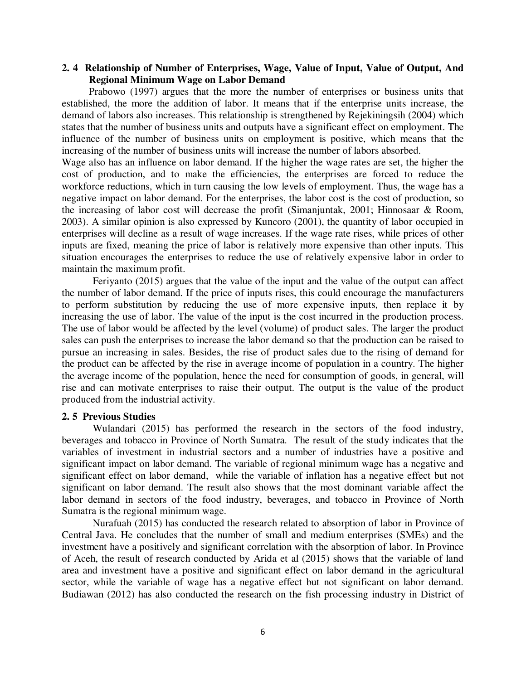#### **2. 4 Relationship of Number of Enterprises, Wage, Value of Input, Value of Output, And Regional Minimum Wage on Labor Demand**

Prabowo (1997) argues that the more the number of enterprises or business units that established, the more the addition of labor. It means that if the enterprise units increase, the demand of labors also increases. This relationship is strengthened by Rejekiningsih (2004) which states that the number of business units and outputs have a significant effect on employment. The influence of the number of business units on employment is positive, which means that the increasing of the number of business units will increase the number of labors absorbed.

Wage also has an influence on labor demand. If the higher the wage rates are set, the higher the cost of production, and to make the efficiencies, the enterprises are forced to reduce the workforce reductions, which in turn causing the low levels of employment. Thus, the wage has a negative impact on labor demand. For the enterprises, the labor cost is the cost of production, so the increasing of labor cost will decrease the profit (Simanjuntak, 2001; Hinnosaar & Room, 2003). A similar opinion is also expressed by Kuncoro (2001), the quantity of labor occupied in enterprises will decline as a result of wage increases. If the wage rate rises, while prices of other inputs are fixed, meaning the price of labor is relatively more expensive than other inputs. This situation encourages the enterprises to reduce the use of relatively expensive labor in order to maintain the maximum profit.

Feriyanto (2015) argues that the value of the input and the value of the output can affect the number of labor demand. If the price of inputs rises, this could encourage the manufacturers to perform substitution by reducing the use of more expensive inputs, then replace it by increasing the use of labor. The value of the input is the cost incurred in the production process. The use of labor would be affected by the level (volume) of product sales. The larger the product sales can push the enterprises to increase the labor demand so that the production can be raised to pursue an increasing in sales. Besides, the rise of product sales due to the rising of demand for the product can be affected by the rise in average income of population in a country. The higher the average income of the population, hence the need for consumption of goods, in general, will rise and can motivate enterprises to raise their output. The output is the value of the product produced from the industrial activity.

#### **2. 5 Previous Studies**

Wulandari (2015) has performed the research in the sectors of the food industry, beverages and tobacco in Province of North Sumatra. The result of the study indicates that the variables of investment in industrial sectors and a number of industries have a positive and significant impact on labor demand. The variable of regional minimum wage has a negative and significant effect on labor demand, while the variable of inflation has a negative effect but not significant on labor demand. The result also shows that the most dominant variable affect the labor demand in sectors of the food industry, beverages, and tobacco in Province of North Sumatra is the regional minimum wage.

Nurafuah (2015) has conducted the research related to absorption of labor in Province of Central Java. He concludes that the number of small and medium enterprises (SMEs) and the investment have a positively and significant correlation with the absorption of labor. In Province of Aceh, the result of research conducted by Arida et al (2015) shows that the variable of land area and investment have a positive and significant effect on labor demand in the agricultural sector, while the variable of wage has a negative effect but not significant on labor demand. Budiawan (2012) has also conducted the research on the fish processing industry in District of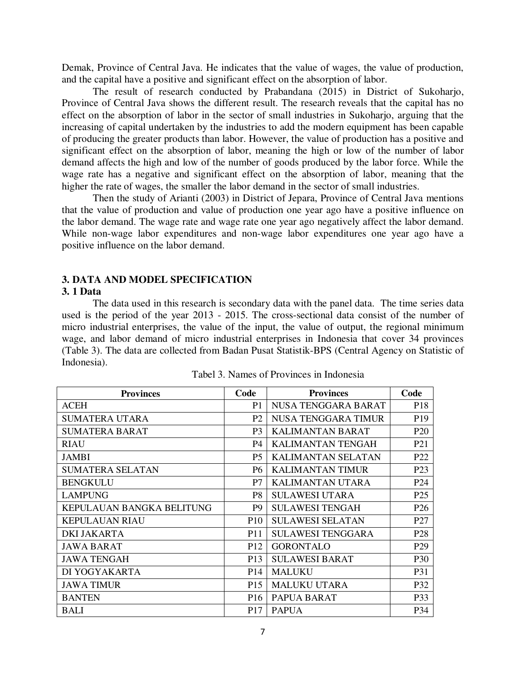Demak, Province of Central Java. He indicates that the value of wages, the value of production, and the capital have a positive and significant effect on the absorption of labor.

The result of research conducted by Prabandana (2015) in District of Sukoharjo, Province of Central Java shows the different result. The research reveals that the capital has no effect on the absorption of labor in the sector of small industries in Sukoharjo, arguing that the increasing of capital undertaken by the industries to add the modern equipment has been capable of producing the greater products than labor. However, the value of production has a positive and significant effect on the absorption of labor, meaning the high or low of the number of labor demand affects the high and low of the number of goods produced by the labor force. While the wage rate has a negative and significant effect on the absorption of labor, meaning that the higher the rate of wages, the smaller the labor demand in the sector of small industries.

Then the study of Arianti (2003) in District of Jepara, Province of Central Java mentions that the value of production and value of production one year ago have a positive influence on the labor demand. The wage rate and wage rate one year ago negatively affect the labor demand. While non-wage labor expenditures and non-wage labor expenditures one year ago have a positive influence on the labor demand.

#### **3. DATA AND MODEL SPECIFICATION**

#### **3. 1 Data**

The data used in this research is secondary data with the panel data. The time series data used is the period of the year 2013 - 2015. The cross-sectional data consist of the number of micro industrial enterprises, the value of the input, the value of output, the regional minimum wage, and labor demand of micro industrial enterprises in Indonesia that cover 34 provinces (Table 3). The data are collected from Badan Pusat Statistik-BPS (Central Agency on Statistic of Indonesia).

| Code<br><b>Provinces</b>  |                 | <b>Provinces</b>          | Code            |
|---------------------------|-----------------|---------------------------|-----------------|
| <b>ACEH</b>               | P <sub>1</sub>  | NUSA TENGGARA BARAT       | P <sub>18</sub> |
| <b>SUMATERA UTARA</b>     | P <sub>2</sub>  | NUSA TENGGARA TIMUR       | P <sub>19</sub> |
| <b>SUMATERA BARAT</b>     | P <sub>3</sub>  | KALIMANTAN BARAT          | P <sub>20</sub> |
| RIAU                      | P4              | <b>KALIMANTAN TENGAH</b>  | P <sub>21</sub> |
| <b>JAMBI</b>              | <b>P5</b>       | <b>KALIMANTAN SELATAN</b> | P <sub>22</sub> |
| <b>SUMATERA SELATAN</b>   | P6              | <b>KALIMANTAN TIMUR</b>   | P <sub>23</sub> |
| <b>BENGKULU</b>           | P7              | <b>KALIMANTAN UTARA</b>   | P <sub>24</sub> |
| <b>LAMPUNG</b>            | P8              | <b>SULAWESI UTARA</b>     | P <sub>25</sub> |
| KEPULAUAN BANGKA BELITUNG | P <sub>9</sub>  | <b>SULAWESI TENGAH</b>    | P <sub>26</sub> |
| <b>KEPULAUAN RIAU</b>     | P <sub>10</sub> | <b>SULAWESI SELATAN</b>   | P27             |
| <b>DKI JAKARTA</b>        | P <sub>11</sub> | <b>SULAWESI TENGGARA</b>  | P <sub>28</sub> |
| <b>JAWA BARAT</b>         | P <sub>12</sub> | <b>GORONTALO</b>          | P <sub>29</sub> |
| <b>JAWA TENGAH</b>        | P <sub>13</sub> | <b>SULAWESI BARAT</b>     | P30             |
| DI YOGYAKARTA             | P <sub>14</sub> | <b>MALUKU</b>             | P31             |
| <b>JAWA TIMUR</b>         | P <sub>15</sub> | <b>MALUKU UTARA</b>       | P32             |
| <b>BANTEN</b>             | P <sub>16</sub> | PAPUA BARAT               | P33             |
| BALI                      | P <sub>17</sub> | <b>PAPUA</b>              | P34             |

|  |  | Tabel 3. Names of Provinces in Indonesia |
|--|--|------------------------------------------|
|  |  |                                          |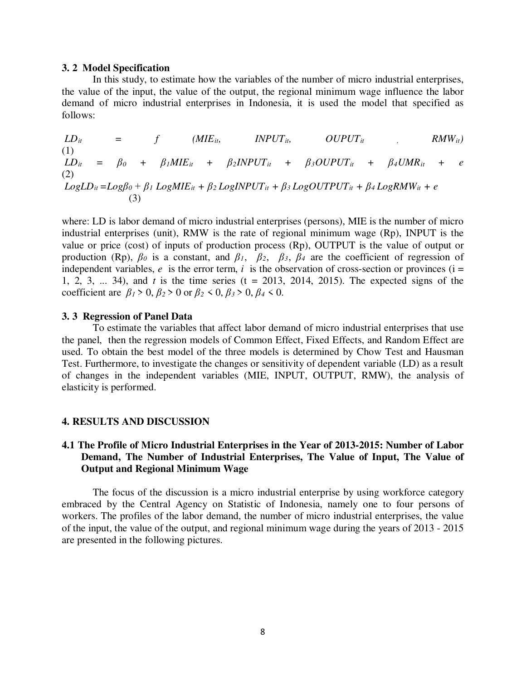#### **3. 2 Model Specification**

In this study, to estimate how the variables of the number of micro industrial enterprises, the value of the input, the value of the output, the regional minimum wage influence the labor demand of micro industrial enterprises in Indonesia, it is used the model that specified as follows:

 $LD_{it}$  = f (*MIE*<sub>*it*</sub>, *INPUT*<sub>*it*</sub>, *OUPUT*<sub>*it*</sub> , *RMW*<sub>*it*</sub>) (1)  $LD_{it} = \beta_0 + \beta_1 MIE_{it} + \beta_2 INPUT_{it} + \beta_3 OUPUT_{it} + \beta_4 UMR_{it} + e$ (2)  $LogLD_{it} = Log\beta_0 + \beta_1 LogMIE_{it} + \beta_2 LogINPUT_{it} + \beta_3 LogOUTPUT_{it} + \beta_4 LogRMW_{it} + e$ (3)

where: LD is labor demand of micro industrial enterprises (persons), MIE is the number of micro industrial enterprises (unit), RMW is the rate of regional minimum wage (Rp), INPUT is the value or price (cost) of inputs of production process (Rp), OUTPUT is the value of output or production (Rp),  $\beta_0$  is a constant, and  $\beta_1$ ,  $\beta_2$ ,  $\beta_3$ ,  $\beta_4$  are the coefficient of regression of independent variables,  $e$  is the error term,  $i$  is the observation of cross-section or provinces ( $i =$ 1, 2, 3, ... 34), and *t* is the time series (t = 2013, 2014, 2015). The expected signs of the coefficient are  $\beta_1 > 0$ ,  $\beta_2 > 0$  or  $\beta_2 < 0$ ,  $\beta_3 > 0$ ,  $\beta_4 < 0$ .

#### **3. 3 Regression of Panel Data**

To estimate the variables that affect labor demand of micro industrial enterprises that use the panel, then the regression models of Common Effect, Fixed Effects, and Random Effect are used. To obtain the best model of the three models is determined by Chow Test and Hausman Test. Furthermore, to investigate the changes or sensitivity of dependent variable (LD) as a result of changes in the independent variables (MIE, INPUT, OUTPUT, RMW), the analysis of elasticity is performed.

#### **4. RESULTS AND DISCUSSION**

#### **4.1 The Profile of Micro Industrial Enterprises in the Year of 2013-2015: Number of Labor Demand, The Number of Industrial Enterprises, The Value of Input, The Value of Output and Regional Minimum Wage**

The focus of the discussion is a micro industrial enterprise by using workforce category embraced by the Central Agency on Statistic of Indonesia, namely one to four persons of workers. The profiles of the labor demand, the number of micro industrial enterprises, the value of the input, the value of the output, and regional minimum wage during the years of 2013 - 2015 are presented in the following pictures.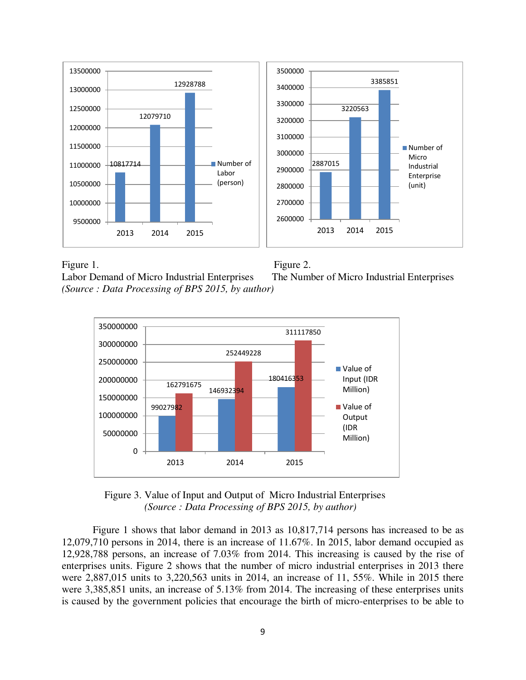

Figure 1. Figure 2. Labor Demand of Micro Industrial Enterprises The Number of Micro Industrial Enterprises *(Source : Data Processing of BPS 2015, by author)*





 Figure 3. Value of Input and Output of Micro Industrial Enterprises  *(Source : Data Processing of BPS 2015, by author)*

Figure 1 shows that labor demand in 2013 as 10,817,714 persons has increased to be as 12,079,710 persons in 2014, there is an increase of 11.67%. In 2015, labor demand occupied as 12,928,788 persons, an increase of 7.03% from 2014. This increasing is caused by the rise of enterprises units. Figure 2 shows that the number of micro industrial enterprises in 2013 there were 2,887,015 units to 3,220,563 units in 2014, an increase of 11, 55%. While in 2015 there were 3,385,851 units, an increase of 5.13% from 2014. The increasing of these enterprises units is caused by the government policies that encourage the birth of micro-enterprises to be able to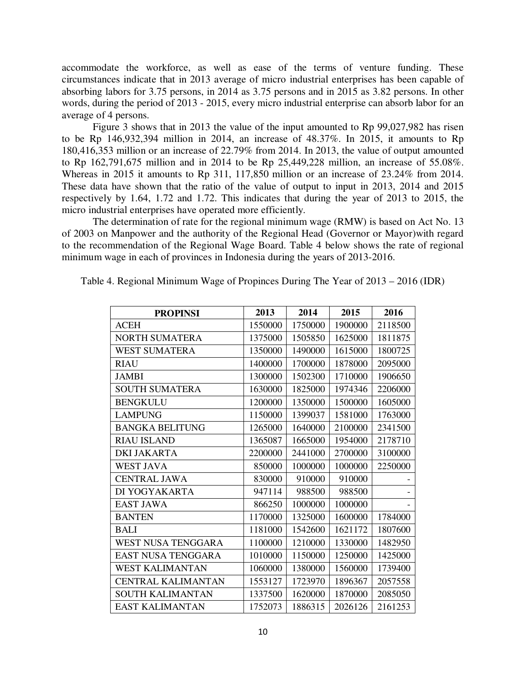accommodate the workforce, as well as ease of the terms of venture funding. These circumstances indicate that in 2013 average of micro industrial enterprises has been capable of absorbing labors for 3.75 persons, in 2014 as 3.75 persons and in 2015 as 3.82 persons. In other words, during the period of 2013 - 2015, every micro industrial enterprise can absorb labor for an average of 4 persons.

Figure 3 shows that in 2013 the value of the input amounted to Rp 99,027,982 has risen to be Rp 146,932,394 million in 2014, an increase of 48.37%. In 2015, it amounts to Rp 180,416,353 million or an increase of 22.79% from 2014. In 2013, the value of output amounted to Rp 162,791,675 million and in 2014 to be Rp 25,449,228 million, an increase of 55.08%. Whereas in 2015 it amounts to Rp 311, 117,850 million or an increase of 23.24% from 2014. These data have shown that the ratio of the value of output to input in 2013, 2014 and 2015 respectively by 1.64, 1.72 and 1.72. This indicates that during the year of 2013 to 2015, the micro industrial enterprises have operated more efficiently.

The determination of rate for the regional minimum wage (RMW) is based on Act No. 13 of 2003 on Manpower and the authority of the Regional Head (Governor or Mayor)with regard to the recommendation of the Regional Wage Board. Table 4 below shows the rate of regional minimum wage in each of provinces in Indonesia during the years of 2013-2016.

| <b>PROPINSI</b>           | 2013    | 2014    | 2015    | 2016    |
|---------------------------|---------|---------|---------|---------|
| <b>ACEH</b>               | 1550000 | 1750000 | 1900000 | 2118500 |
| <b>NORTH SUMATERA</b>     | 1375000 | 1505850 | 1625000 | 1811875 |
| <b>WEST SUMATERA</b>      | 1350000 | 1490000 | 1615000 | 1800725 |
| <b>RIAU</b>               | 1400000 | 1700000 | 1878000 | 2095000 |
| <b>JAMBI</b>              | 1300000 | 1502300 | 1710000 | 1906650 |
| <b>SOUTH SUMATERA</b>     | 1630000 | 1825000 | 1974346 | 2206000 |
| <b>BENGKULU</b>           | 1200000 | 1350000 | 1500000 | 1605000 |
| <b>LAMPUNG</b>            | 1150000 | 1399037 | 1581000 | 1763000 |
| <b>BANGKA BELITUNG</b>    | 1265000 | 1640000 | 2100000 | 2341500 |
| <b>RIAU ISLAND</b>        | 1365087 | 1665000 | 1954000 | 2178710 |
| <b>DKI JAKARTA</b>        | 2200000 | 2441000 | 2700000 | 3100000 |
| <b>WEST JAVA</b>          | 850000  | 1000000 | 1000000 | 2250000 |
| <b>CENTRAL JAWA</b>       | 830000  | 910000  | 910000  |         |
| DI YOGYAKARTA             | 947114  | 988500  | 988500  |         |
| <b>EAST JAWA</b>          | 866250  | 1000000 | 1000000 |         |
| <b>BANTEN</b>             | 1170000 | 1325000 | 1600000 | 1784000 |
| <b>BALI</b>               | 1181000 | 1542600 | 1621172 | 1807600 |
| WEST NUSA TENGGARA        | 1100000 | 1210000 | 1330000 | 1482950 |
| EAST NUSA TENGGARA        | 1010000 | 1150000 | 1250000 | 1425000 |
| <b>WEST KALIMANTAN</b>    | 1060000 | 1380000 | 1560000 | 1739400 |
| <b>CENTRAL KALIMANTAN</b> | 1553127 | 1723970 | 1896367 | 2057558 |
| <b>SOUTH KALIMANTAN</b>   | 1337500 | 1620000 | 1870000 | 2085050 |
| <b>EAST KALIMANTAN</b>    | 1752073 | 1886315 | 2026126 | 2161253 |

Table 4. Regional Minimum Wage of Propinces During The Year of 2013 – 2016 (IDR)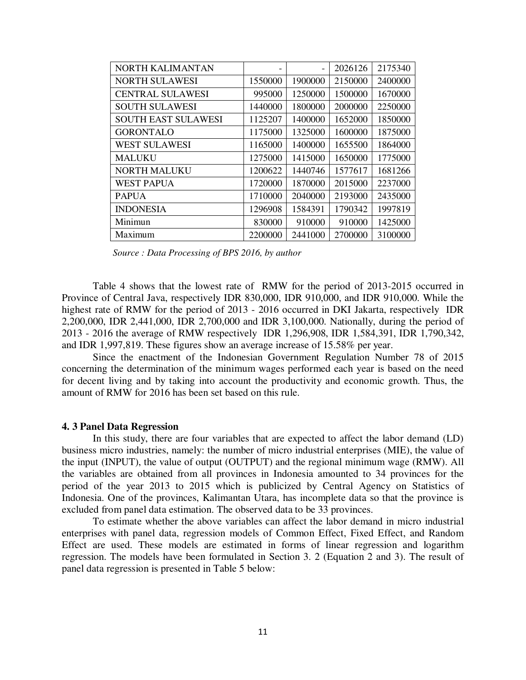| <b>NORTH KALIMANTAN</b>    | $\overline{\phantom{0}}$ |         | 2026126 | 2175340 |
|----------------------------|--------------------------|---------|---------|---------|
| <b>NORTH SULAWESI</b>      | 1550000                  | 1900000 | 2150000 | 2400000 |
| <b>CENTRAL SULAWESI</b>    | 995000                   | 1250000 | 1500000 | 1670000 |
| <b>SOUTH SULAWESI</b>      | 1440000                  | 1800000 | 2000000 | 2250000 |
| <b>SOUTH EAST SULAWESI</b> | 1125207                  | 1400000 | 1652000 | 1850000 |
| <b>GORONTALO</b>           | 1175000                  | 1325000 | 1600000 | 1875000 |
| <b>WEST SULAWESI</b>       | 1165000                  | 1400000 | 1655500 | 1864000 |
| <b>MALUKU</b>              | 1275000                  | 1415000 | 1650000 | 1775000 |
| <b>NORTH MALUKU</b>        | 1200622                  | 1440746 | 1577617 | 1681266 |
| <b>WEST PAPUA</b>          | 1720000                  | 1870000 | 2015000 | 2237000 |
| <b>PAPUA</b>               | 1710000                  | 2040000 | 2193000 | 2435000 |
| <b>INDONESIA</b>           | 1296908                  | 1584391 | 1790342 | 1997819 |
| Minimun                    | 830000                   | 910000  | 910000  | 1425000 |
| Maximum                    | 2200000                  | 2441000 | 2700000 | 3100000 |

 *Source : Data Processing of BPS 2016, by author* 

Table 4 shows that the lowest rate of RMW for the period of 2013-2015 occurred in Province of Central Java, respectively IDR 830,000, IDR 910,000, and IDR 910,000. While the highest rate of RMW for the period of 2013 - 2016 occurred in DKI Jakarta, respectively IDR 2,200,000, IDR 2,441,000, IDR 2,700,000 and IDR 3,100,000. Nationally, during the period of 2013 - 2016 the average of RMW respectively IDR 1,296,908, IDR 1,584,391, IDR 1,790,342, and IDR 1,997,819. These figures show an average increase of 15.58% per year.

Since the enactment of the Indonesian Government Regulation Number 78 of 2015 concerning the determination of the minimum wages performed each year is based on the need for decent living and by taking into account the productivity and economic growth. Thus, the amount of RMW for 2016 has been set based on this rule.

#### **4. 3 Panel Data Regression**

In this study, there are four variables that are expected to affect the labor demand (LD) business micro industries, namely: the number of micro industrial enterprises (MIE), the value of the input (INPUT), the value of output (OUTPUT) and the regional minimum wage (RMW). All the variables are obtained from all provinces in Indonesia amounted to 34 provinces for the period of the year 2013 to 2015 which is publicized by Central Agency on Statistics of Indonesia. One of the provinces, Kalimantan Utara, has incomplete data so that the province is excluded from panel data estimation. The observed data to be 33 provinces.

To estimate whether the above variables can affect the labor demand in micro industrial enterprises with panel data, regression models of Common Effect, Fixed Effect, and Random Effect are used. These models are estimated in forms of linear regression and logarithm regression. The models have been formulated in Section 3. 2 (Equation 2 and 3). The result of panel data regression is presented in Table 5 below: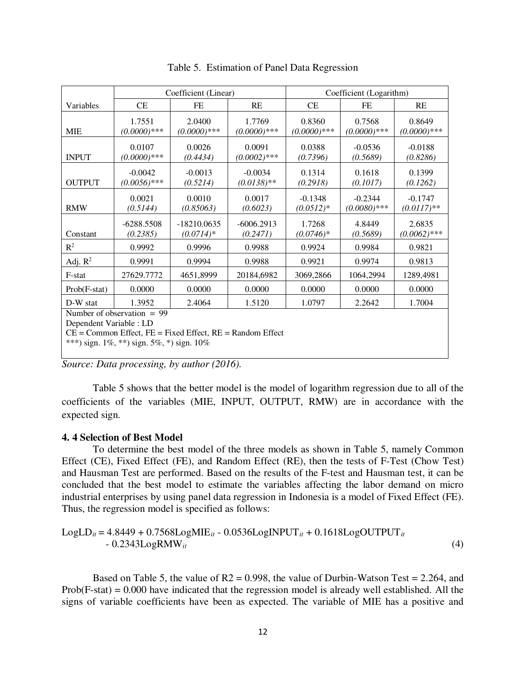|                                                                                                                                                                         | Coefficient (Linear)        |                              |                            | Coefficient (Logarithm)  |                             |                           |
|-------------------------------------------------------------------------------------------------------------------------------------------------------------------------|-----------------------------|------------------------------|----------------------------|--------------------------|-----------------------------|---------------------------|
| Variables                                                                                                                                                               | CE                          | FE                           | RE                         | CE                       | FE                          | RE                        |
| <b>MIE</b>                                                                                                                                                              | 1.7551<br>$(0.0000)***$     | 2.0400<br>$(0.0000)***$      | 1.7769<br>$(0.0000)***$    | 0.8360<br>$(0.0000)***$  | 0.7568<br>$(0.0000)$ ***    | 0.8649<br>$(0.0000)***$   |
| <b>INPUT</b>                                                                                                                                                            | 0.0107<br>$(0.0000)***$     | 0.0026<br>(0.4434)           | 0.0091<br>$(0.0002)$ ***   | 0.0388<br>(0.7396)       | $-0.0536$<br>(0.5689)       | $-0.0188$<br>(0.8286)     |
| <b>OUTPUT</b>                                                                                                                                                           | $-0.0042$<br>$(0.0056)$ *** | $-0.0013$<br>(0.5214)        | $-0.0034$<br>$(0.0138)$ ** | 0.1314<br>(0.2918)       | 0.1618<br>(0.1017)          | 0.1399<br>(0.1262)        |
| <b>RMW</b>                                                                                                                                                              | 0.0021<br>(0.5144)          | 0.0010<br>(0.85063)          | 0.0017<br>(0.6023)         | $-0.1348$<br>$(0.0512)*$ | $-0.2344$<br>$(0.0080)$ *** | $-0.1747$<br>$(0.0117)**$ |
| Constant                                                                                                                                                                | $-6288.5508$<br>(0.2385)    | $-18210.0635$<br>$(0.0714)*$ | $-6006.2913$<br>(0.2471)   | 1.7268<br>$(0.0746)*$    | 4.8449<br>(0.5689)          | 2.6835<br>$(0.0062)$ ***  |
| $R^2$                                                                                                                                                                   | 0.9992                      | 0.9996                       | 0.9988                     | 0.9924                   | 0.9984                      | 0.9821                    |
| Adj. $R^2$                                                                                                                                                              | 0.9991                      | 0.9994                       | 0.9988                     | 0.9921                   | 0.9974                      | 0.9813                    |
| F-stat                                                                                                                                                                  | 27629.7772                  | 4651,8999                    | 20184,6982                 | 3069,2866                | 1064,2994                   | 1289,4981                 |
| $Prob(F-stat)$                                                                                                                                                          | 0.0000                      | 0.0000                       | 0.0000                     | 0.0000                   | 0.0000                      | 0.0000                    |
| D-W stat                                                                                                                                                                | 1.3952                      | 2.4064                       | 1.5120                     | 1.0797                   | 2.2642                      | 1.7004                    |
| Number of observation $= 99$<br>Dependent Variable : LD<br>$CE = Common$ Effect, $FE = Fixed$ Effect, $RE = Random$ Effect<br>***) sign. 1%, **) sign. 5%, *) sign. 10% |                             |                              |                            |                          |                             |                           |

|  |  |  |  | Table 5. Estimation of Panel Data Regression |
|--|--|--|--|----------------------------------------------|
|--|--|--|--|----------------------------------------------|

*Source: Data processing, by author (2016).* 

Table 5 shows that the better model is the model of logarithm regression due to all of the coefficients of the variables (MIE, INPUT, OUTPUT, RMW) are in accordance with the expected sign.

#### **4. 4 Selection of Best Model**

To determine the best model of the three models as shown in Table 5, namely Common Effect (CE), Fixed Effect (FE), and Random Effect (RE), then the tests of F-Test (Chow Test) and Hausman Test are performed. Based on the results of the F-test and Hausman test, it can be concluded that the best model to estimate the variables affecting the labor demand on micro industrial enterprises by using panel data regression in Indonesia is a model of Fixed Effect (FE). Thus, the regression model is specified as follows:

LogLD*it* = 4.8449 + 0.7568LogMIE*it* - 0.0536LogINPUT*it* + 0.1618LogOUTPUT*it* - 0.2343LogRMW*it* (4)

Based on Table 5, the value of  $R2 = 0.998$ , the value of Durbin-Watson Test = 2.264, and  $Prob(F-stat) = 0.000$  have indicated that the regression model is already well established. All the signs of variable coefficients have been as expected. The variable of MIE has a positive and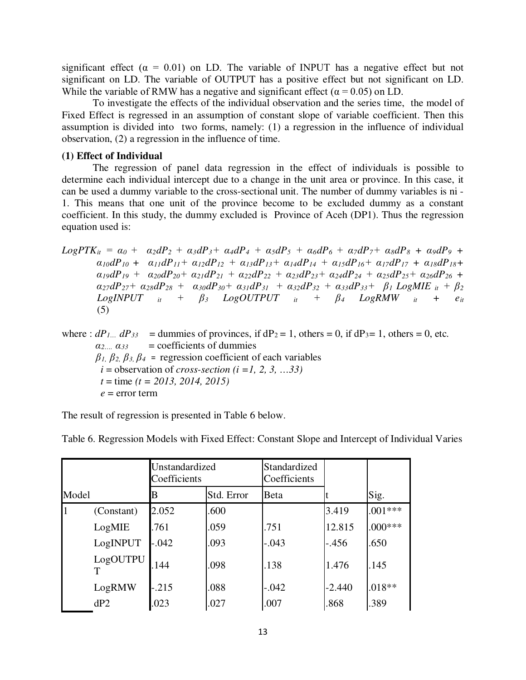significant effect ( $\alpha = 0.01$ ) on LD. The variable of INPUT has a negative effect but not significant on LD. The variable of OUTPUT has a positive effect but not significant on LD. While the variable of RMW has a negative and significant effect ( $\alpha$  = 0.05) on LD.

To investigate the effects of the individual observation and the series time, the model of Fixed Effect is regressed in an assumption of constant slope of variable coefficient. Then this assumption is divided into two forms, namely: (1) a regression in the influence of individual observation, (2) a regression in the influence of time.

#### **(1) Effect of Individual**

The regression of panel data regression in the effect of individuals is possible to determine each individual intercept due to a change in the unit area or province. In this case, it can be used a dummy variable to the cross-sectional unit. The number of dummy variables is ni - 1. This means that one unit of the province become to be excluded dummy as a constant coefficient. In this study, the dummy excluded is Province of Aceh (DP1). Thus the regression equation used is:

LogPTK<sub>ii</sub> = 
$$
\alpha_0 + \alpha_2 dP_2 + \alpha_3 dP_3 + \alpha_4 dP_4 + \alpha_5 dP_5 + \alpha_6 dP_6 + \alpha_7 dP_7 + \alpha_8 dP_8 + \alpha_9 dP_9 + \alpha_{10} dP_{10} + \alpha_{11} dP_{11} + \alpha_{12} dP_{12} + \alpha_{13} dP_{13} + \alpha_{14} dP_{14} + \alpha_{15} dP_{16} + \alpha_{17} dP_{17} + \alpha_{18} dP_{18} + \alpha_{19} dP_{19} + \alpha_{20} dP_{20} + \alpha_{21} dP_{21} + \alpha_{22} dP_{22} + \alpha_{23} dP_{23} + \alpha_{24} dP_{24} + \alpha_{25} dP_{25} + \alpha_{26} dP_{26} + \alpha_{27} dP_{27} + \alpha_{28} dP_{28} + \alpha_{30} dP_{30} + \alpha_{31} dP_{31} + \alpha_{32} dP_{32} + \alpha_{33} dP_{33} + \beta_1 LogMIE_{it} + \beta_2 LogINPUT_{it} + \beta_3 LogOUTPUT_{it} + \beta_4 LogRMW_{it} + \epsilon_{it}
$$
 (5)

where :  $dP_{1}$   $dP_{33}$  = dummies of provinces, if  $dP_2 = 1$ , others = 0, if  $dP_3 = 1$ , others = 0, etc.  $a_{2}a_{33}$  = coefficients of dummies *β1, β2, β3, β<sup>4</sup>* = regression coefficient of each variables  $i =$  observation of *cross-section* ( $i = 1, 2, 3, \ldots, 33$ )  *t* = time *(t = 2013, 2014, 2015)*  $e =$  error term

The result of regression is presented in Table 6 below.

Table 6. Regression Models with Fixed Effect: Constant Slope and Intercept of Individual Varies

|       |            | Unstandardized<br>Coefficients |            | Standardized<br>Coefficients |          |           |
|-------|------------|--------------------------------|------------|------------------------------|----------|-----------|
| Model |            | В                              | Std. Error | Beta                         |          | Sig.      |
|       | (Constant) | 2.052                          | .600       |                              | 3.419    | $.001***$ |
|       | LogMIE     | .761                           | .059       | .751                         | 12.815   | $.000***$ |
|       | LogINPUT   | $-.042$                        | .093       | $-.043$                      | $-.456$  | .650      |
|       | LogOUTPU   | .144                           | .098       | .138                         | 1.476    | .145      |
|       | LogRMW     | $-.215$                        | .088       | $-.042$                      | $-2.440$ | $.018**$  |
|       | dP2        | .023                           | .027       | .007                         | .868     | .389      |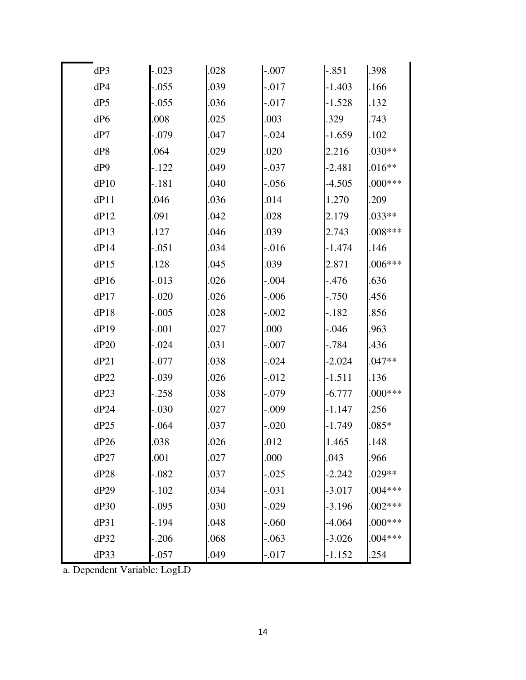| dP3  | $-.023$ | .028 | $-.007$  | $-.851$  | .398      |
|------|---------|------|----------|----------|-----------|
| dP4  | $-.055$ | .039 | -.017    | $-1.403$ | .166      |
| dP5  | $-.055$ | .036 | -.017    | $-1.528$ | .132      |
| dP6  | .008    | .025 | .003     | .329     | .743      |
| dP7  | $-.079$ | .047 | $-.024$  | $-1.659$ | .102      |
| dP8  | .064    | .029 | .020     | 2.216    | $.030**$  |
| dP9  | $-122$  | .049 | $-.037$  | $-2.481$ | $.016**$  |
| dP10 | $-.181$ | .040 | $-.056$  | $-4.505$ | $.000***$ |
| dP11 | .046    | .036 | .014     | 1.270    | .209      |
| dP12 | .091    | .042 | .028     | 2.179    | $.033**$  |
| dP13 | .127    | .046 | .039     | 2.743    | $.008***$ |
| dP14 | $-.051$ | .034 | $-.016$  | $-1.474$ | .146      |
| dP15 | .128    | .045 | .039     | 2.871    | $.006***$ |
| dP16 | $-.013$ | .026 | $-.004$  | -.476    | .636      |
| dP17 | $-.020$ | .026 | $-0.006$ | $-0.750$ | .456      |
| dP18 | $-.005$ | .028 | $-.002$  | $-.182$  | .856      |
| dP19 | $-.001$ | .027 | .000     | $-.046$  | .963      |
| dP20 | $-.024$ | .031 | $-.007$  | $-.784$  | .436      |
| dP21 | -.077   | .038 | $-.024$  | $-2.024$ | $.047**$  |
| dP22 | $-.039$ | .026 | $-.012$  | $-1.511$ | .136      |
| dP23 | $-.258$ | .038 | -.079    | $-6.777$ | $.000***$ |
| dP24 | $-.030$ | .027 | $-.009$  | $-1.147$ | .256      |
| dP25 | $-.064$ | .037 | $-.020$  | $-1.749$ | $.085*$   |
| dP26 | .038    | .026 | .012     | 1.465    | .148      |
| dP27 | .001    | .027 | .000     | .043     | .966      |
| dP28 | $-.082$ | .037 | $-0.025$ | $-2.242$ | $.029**$  |
| dP29 | $-.102$ | .034 | $-.031$  | $-3.017$ | $.004***$ |
| dP30 | $-.095$ | .030 | $-.029$  | $-3.196$ | $.002***$ |
| dP31 | $-194$  | .048 | $-060$   | $-4.064$ | $.000***$ |
| dP32 | $-.206$ | .068 | $-.063$  | $-3.026$ | $.004***$ |
| dP33 | $-.057$ | .049 | $-.017$  | $-1.152$ | .254      |

a. Dependent Variable: LogLD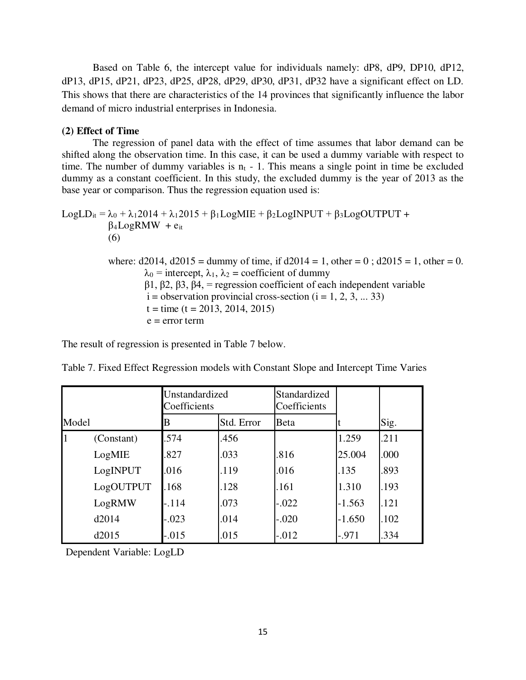Based on Table 6, the intercept value for individuals namely: dP8, dP9, DP10, dP12, dP13, dP15, dP21, dP23, dP25, dP28, dP29, dP30, dP31, dP32 have a significant effect on LD. This shows that there are characteristics of the 14 provinces that significantly influence the labor demand of micro industrial enterprises in Indonesia.

#### **(2) Effect of Time**

The regression of panel data with the effect of time assumes that labor demand can be shifted along the observation time. In this case, it can be used a dummy variable with respect to time. The number of dummy variables is  $n_t$  - 1. This means a single point in time be excluded dummy as a constant coefficient. In this study, the excluded dummy is the year of 2013 as the base year or comparison. Thus the regression equation used is:

LogLD<sub>it</sub> =  $\lambda_0$  +  $\lambda_1$ 2014 +  $\lambda_1$ 2015 +  $\beta_1$ LogMIE +  $\beta_2$ LogINPUT +  $\beta_3$ LogOUTPUT +  $\beta_4$ LogRMW +  $e_{it}$ (6) where:  $d2014$ ,  $d2015 =$  dummy of time, if  $d2014 = 1$ , other = 0;  $d2015 = 1$ , other = 0.  $\lambda_0$  = intercept,  $\lambda_1$ ,  $\lambda_2$  = coefficient of dummy β1, β2, β3, β4, = regression coefficient of each independent variable

 $i =$  observation provincial cross-section  $(i = 1, 2, 3, ... 33)$  $t =$  time (t = 2013, 2014, 2015)

 $e = error term$ 

The result of regression is presented in Table 7 below.

|       |            | Unstandardized<br>Coefficients |            | Standardized<br>Coefficients |          |      |
|-------|------------|--------------------------------|------------|------------------------------|----------|------|
| Model |            | В                              | Std. Error | Beta                         |          | Sig. |
|       | (Constant) | .574                           | .456       |                              | 1.259    | .211 |
|       | LogMIE     | .827                           | .033       | .816                         | 25.004   | .000 |
|       | LogINPUT   | .016                           | .119       | .016                         | .135     | .893 |
|       | LogOUTPUT  | .168                           | .128       | .161                         | 1.310    | .193 |
|       | LogRMW     | $-.114$                        | .073       | $-.022$                      | $-1.563$ | .121 |
|       | d2014      | $-.023$                        | .014       | $-.020$                      | $-1.650$ | .102 |
|       | d2015      | $-.015$                        | .015       | $-.012$                      | $-.971$  | .334 |

Table 7. Fixed Effect Regression models with Constant Slope and Intercept Time Varies

Dependent Variable: LogLD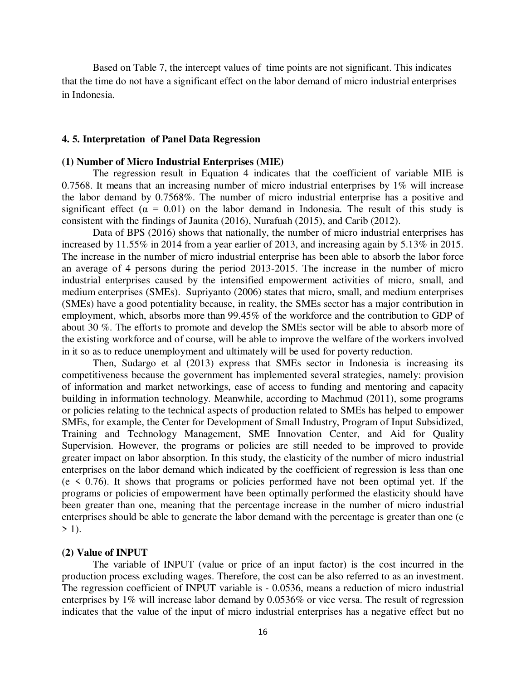Based on Table 7, the intercept values of time points are not significant. This indicates that the time do not have a significant effect on the labor demand of micro industrial enterprises in Indonesia.

#### **4. 5. Interpretation of Panel Data Regression**

#### **(1) Number of Micro Industrial Enterprises (MIE)**

The regression result in Equation 4 indicates that the coefficient of variable MIE is 0.7568. It means that an increasing number of micro industrial enterprises by 1% will increase the labor demand by 0.7568%. The number of micro industrial enterprise has a positive and significant effect ( $\alpha = 0.01$ ) on the labor demand in Indonesia. The result of this study is consistent with the findings of Jaunita (2016), Nurafuah (2015), and Carib (2012).

Data of BPS (2016) shows that nationally, the number of micro industrial enterprises has increased by 11.55% in 2014 from a year earlier of 2013, and increasing again by 5.13% in 2015. The increase in the number of micro industrial enterprise has been able to absorb the labor force an average of 4 persons during the period 2013-2015. The increase in the number of micro industrial enterprises caused by the intensified empowerment activities of micro, small, and medium enterprises (SMEs). Supriyanto (2006) states that micro, small, and medium enterprises (SMEs) have a good potentiality because, in reality, the SMEs sector has a major contribution in employment, which, absorbs more than 99.45% of the workforce and the contribution to GDP of about 30 %. The efforts to promote and develop the SMEs sector will be able to absorb more of the existing workforce and of course, will be able to improve the welfare of the workers involved in it so as to reduce unemployment and ultimately will be used for poverty reduction.

Then, Sudargo et al (2013) express that SMEs sector in Indonesia is increasing its competitiveness because the government has implemented several strategies, namely: provision of information and market networkings, ease of access to funding and mentoring and capacity building in information technology. Meanwhile, according to Machmud (2011), some programs or policies relating to the technical aspects of production related to SMEs has helped to empower SMEs, for example, the Center for Development of Small Industry, Program of Input Subsidized, Training and Technology Management, SME Innovation Center, and Aid for Quality Supervision. However, the programs or policies are still needed to be improved to provide greater impact on labor absorption. In this study, the elasticity of the number of micro industrial enterprises on the labor demand which indicated by the coefficient of regression is less than one  $(e \lt 0.76)$ . It shows that programs or policies performed have not been optimal yet. If the programs or policies of empowerment have been optimally performed the elasticity should have been greater than one, meaning that the percentage increase in the number of micro industrial enterprises should be able to generate the labor demand with the percentage is greater than one (e  $>$  1).

#### **(2) Value of INPUT**

The variable of INPUT (value or price of an input factor) is the cost incurred in the production process excluding wages. Therefore, the cost can be also referred to as an investment. The regression coefficient of INPUT variable is - 0.0536, means a reduction of micro industrial enterprises by 1% will increase labor demand by 0.0536% or vice versa. The result of regression indicates that the value of the input of micro industrial enterprises has a negative effect but no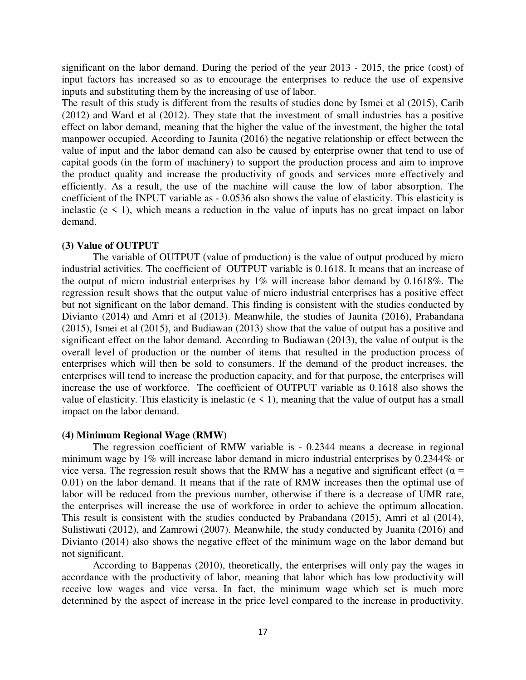significant on the labor demand. During the period of the year 2013 - 2015, the price (cost) of input factors has increased so as to encourage the enterprises to reduce the use of expensive inputs and substituting them by the increasing of use of labor.

The result of this study is different from the results of studies done by Ismei et al (2015), Carib (2012) and Ward et al (2012). They state that the investment of small industries has a positive effect on labor demand, meaning that the higher the value of the investment, the higher the total manpower occupied. According to Jaunita (2016) the negative relationship or effect between the value of input and the labor demand can also be caused by enterprise owner that tend to use of capital goods (in the form of machinery) to support the production process and aim to improve the product quality and increase the productivity of goods and services more effectively and efficiently. As a result, the use of the machine will cause the low of labor absorption. The coefficient of the INPUT variable as - 0.0536 also shows the value of elasticity. This elasticity is inelastic ( $e \leq 1$ ), which means a reduction in the value of inputs has no great impact on labor demand.

#### **(3) Value of OUTPUT**

The variable of OUTPUT (value of production) is the value of output produced by micro industrial activities. The coefficient of OUTPUT variable is 0.1618. It means that an increase of the output of micro industrial enterprises by 1% will increase labor demand by 0.1618%. The regression result shows that the output value of micro industrial enterprises has a positive effect but not significant on the labor demand. This finding is consistent with the studies conducted by Divianto (2014) and Amri et al (2013). Meanwhile, the studies of Jaunita (2016), Prabandana (2015), Ismei et al (2015), and Budiawan (2013) show that the value of output has a positive and significant effect on the labor demand. According to Budiawan (2013), the value of output is the overall level of production or the number of items that resulted in the production process of enterprises which will then be sold to consumers. If the demand of the product increases, the enterprises will tend to increase the production capacity, and for that purpose, the enterprises will increase the use of workforce. The coefficient of OUTPUT variable as 0.1618 also shows the value of elasticity. This elasticity is inelastic ( $e < 1$ ), meaning that the value of output has a small impact on the labor demand.

#### **(4) Minimum Regional Wage (RMW)**

The regression coefficient of RMW variable is - 0.2344 means a decrease in regional minimum wage by 1% will increase labor demand in micro industrial enterprises by 0.2344% or vice versa. The regression result shows that the RMW has a negative and significant effect ( $\alpha$  = 0.01) on the labor demand. It means that if the rate of RMW increases then the optimal use of labor will be reduced from the previous number, otherwise if there is a decrease of UMR rate, the enterprises will increase the use of workforce in order to achieve the optimum allocation. This result is consistent with the studies conducted by Prabandana (2015), Amri et al (2014), Sulistiwati (2012), and Zamrowi (2007). Meanwhile, the study conducted by Juanita (2016) and Divianto (2014) also shows the negative effect of the minimum wage on the labor demand but not significant.

According to Bappenas (2010), theoretically, the enterprises will only pay the wages in accordance with the productivity of labor, meaning that labor which has low productivity will receive low wages and vice versa. In fact, the minimum wage which set is much more determined by the aspect of increase in the price level compared to the increase in productivity.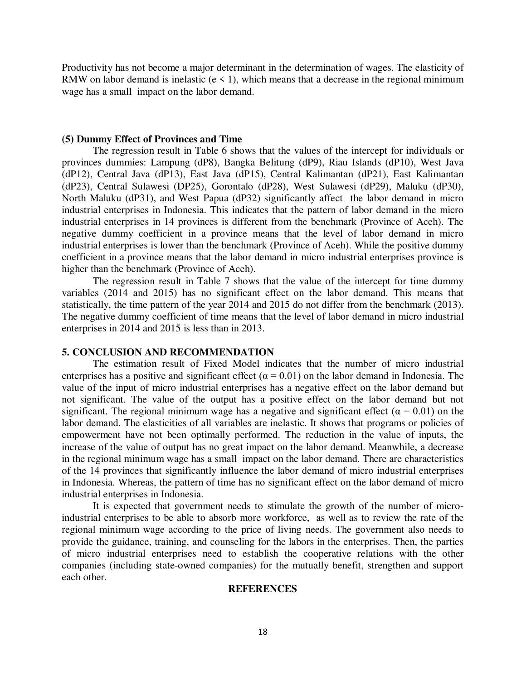Productivity has not become a major determinant in the determination of wages. The elasticity of RMW on labor demand is inelastic ( $e \le 1$ ), which means that a decrease in the regional minimum wage has a small impact on the labor demand.

#### **(5) Dummy Effect of Provinces and Time**

The regression result in Table 6 shows that the values of the intercept for individuals or provinces dummies: Lampung (dP8), Bangka Belitung (dP9), Riau Islands (dP10), West Java (dP12), Central Java (dP13), East Java (dP15), Central Kalimantan (dP21), East Kalimantan (dP23), Central Sulawesi (DP25), Gorontalo (dP28), West Sulawesi (dP29), Maluku (dP30), North Maluku (dP31), and West Papua (dP32) significantly affect the labor demand in micro industrial enterprises in Indonesia. This indicates that the pattern of labor demand in the micro industrial enterprises in 14 provinces is different from the benchmark (Province of Aceh). The negative dummy coefficient in a province means that the level of labor demand in micro industrial enterprises is lower than the benchmark (Province of Aceh). While the positive dummy coefficient in a province means that the labor demand in micro industrial enterprises province is higher than the benchmark (Province of Aceh).

The regression result in Table 7 shows that the value of the intercept for time dummy variables (2014 and 2015) has no significant effect on the labor demand. This means that statistically, the time pattern of the year 2014 and 2015 do not differ from the benchmark (2013). The negative dummy coefficient of time means that the level of labor demand in micro industrial enterprises in 2014 and 2015 is less than in 2013.

#### **5. CONCLUSION AND RECOMMENDATION**

The estimation result of Fixed Model indicates that the number of micro industrial enterprises has a positive and significant effect ( $\alpha$  = 0.01) on the labor demand in Indonesia. The value of the input of micro industrial enterprises has a negative effect on the labor demand but not significant. The value of the output has a positive effect on the labor demand but not significant. The regional minimum wage has a negative and significant effect ( $\alpha = 0.01$ ) on the labor demand. The elasticities of all variables are inelastic. It shows that programs or policies of empowerment have not been optimally performed. The reduction in the value of inputs, the increase of the value of output has no great impact on the labor demand. Meanwhile, a decrease in the regional minimum wage has a small impact on the labor demand. There are characteristics of the 14 provinces that significantly influence the labor demand of micro industrial enterprises in Indonesia. Whereas, the pattern of time has no significant effect on the labor demand of micro industrial enterprises in Indonesia.

It is expected that government needs to stimulate the growth of the number of microindustrial enterprises to be able to absorb more workforce, as well as to review the rate of the regional minimum wage according to the price of living needs. The government also needs to provide the guidance, training, and counseling for the labors in the enterprises. Then, the parties of micro industrial enterprises need to establish the cooperative relations with the other companies (including state-owned companies) for the mutually benefit, strengthen and support each other.

#### **REFERENCES**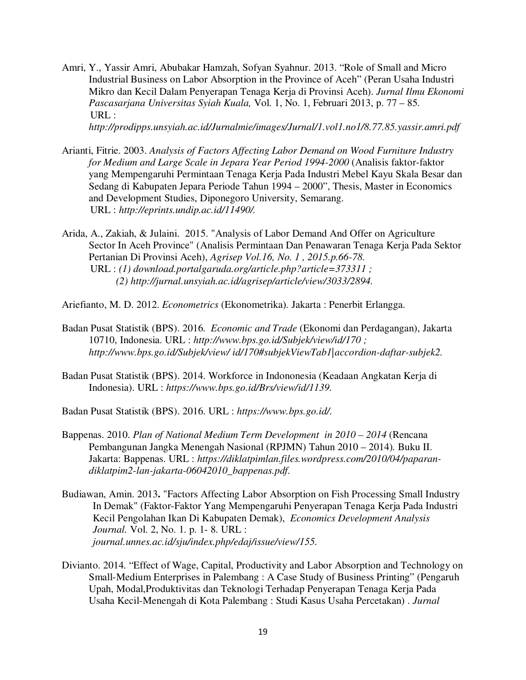Amri, Y., Yassir Amri, Abubakar Hamzah, Sofyan Syahnur. 2013. "Role of Small and Micro Industrial Business on Labor Absorption in the Province of Aceh" (Peran Usaha Industri Mikro dan Kecil Dalam Penyerapan Tenaga Kerja di Provinsi Aceh). *Jurnal Ilmu Ekonomi Pascasarjana Universitas Syiah Kuala,* Vol. 1, No. 1, Februari 2013, p. 77 – 85.  $URL:$ 

*http://prodipps.unsyiah.ac.id/Jurnalmie/images/Jurnal/1.vol1.no1/8.77.85.yassir.amri.pdf* 

- Arianti, Fitrie. 2003. *Analysis of Factors Affecting Labor Demand on Wood Furniture Industry for Medium and Large Scale in Jepara Year Period 1994-2000* (Analisis faktor-faktor yang Mempengaruhi Permintaan Tenaga Kerja Pada Industri Mebel Kayu Skala Besar dan Sedang di Kabupaten Jepara Periode Tahun 1994 – 2000", Thesis, Master in Economics and Development Studies, Diponegoro University, Semarang. URL : *http://eprints.undip.ac.id/11490/.*
- Arida, A., Zakiah, & Julaini. 2015. "Analysis of Labor Demand And Offer on Agriculture Sector In Aceh Province" (Analisis Permintaan Dan Penawaran Tenaga Kerja Pada Sektor Pertanian Di Provinsi Aceh), *Agrisep Vol.16, No. 1 , 2015.p.66-78.* URL : *(1) download.portalgaruda.org/article.php?article=373311 ; (2) http://jurnal.unsyiah.ac.id/agrisep/article/view/3033/2894.*
- Ariefianto, M. D. 2012. *Econometrics* (Ekonometrika)*.* Jakarta : Penerbit Erlangga.
- Badan Pusat Statistik (BPS). 2016. *Economic and Trade* (Ekonomi dan Perdagangan), Jakarta 10710, Indonesia. URL : *http://www.bps.go.id/Subjek/view/id/170 ; http://www.bps.go.id/Subjek/view/ id/170#subjekViewTab1|accordion-daftar-subjek2.*
- Badan Pusat Statistik (BPS). 2014. Workforce in Indononesia (Keadaan Angkatan Kerja di Indonesia). URL : *https://www.bps.go.id/Brs/view/id/1139.*
- Badan Pusat Statistik (BPS). 2016. URL : *https://www.bps.go.id/.*
- Bappenas. 2010. *Plan of National Medium Term Development in 2010 2014* (Rencana Pembangunan Jangka Menengah Nasional (RPJMN) Tahun 2010 – 2014)*.* Buku II. Jakarta: Bappenas. URL : *https://diklatpimlan.files.wordpress.com/2010/04/paparandiklatpim2-lan-jakarta-06042010\_bappenas.pdf.*
- Budiawan, Amin. 2013**.** "Factors Affecting Labor Absorption on Fish Processing Small Industry In Demak" (Faktor-Faktor Yang Mempengaruhi Penyerapan Tenaga Kerja Pada Industri Kecil Pengolahan Ikan Di Kabupaten Demak), *Economics Development Analysis Journal.* Vol. 2, No. 1. p. 1- 8. URL : *journal.unnes.ac.id/sju/index.php/edaj/issue/view/155.*
- Divianto. 2014. "Effect of Wage, Capital, Productivity and Labor Absorption and Technology on Small-Medium Enterprises in Palembang : A Case Study of Business Printing" (Pengaruh Upah, Modal,Produktivitas dan Teknologi Terhadap Penyerapan Tenaga Kerja Pada Usaha Kecil-Menengah di Kota Palembang : Studi Kasus Usaha Percetakan) . *Jurnal*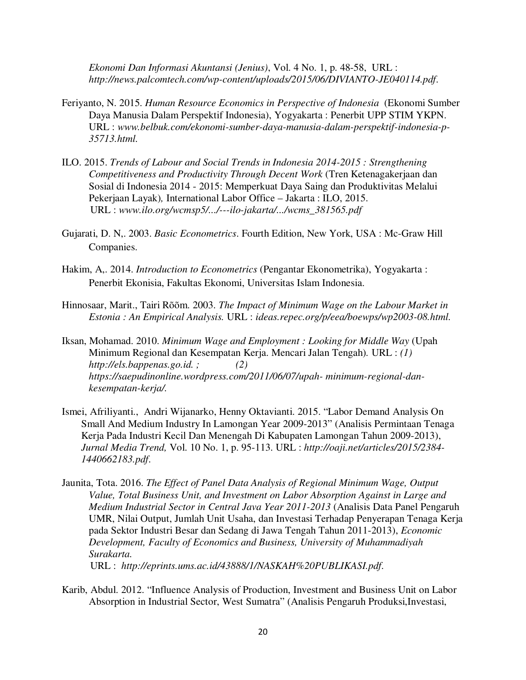*Ekonomi Dan Informasi Akuntansi (Jenius)*, Vol. 4 No. 1, p. 48-58, URL : *http://news.palcomtech.com/wp-content/uploads/2015/06/DIVIANTO-JE040114.pdf*.

- Feriyanto, N. 2015. *Human Resource Economics in Perspective of Indonesia* (Ekonomi Sumber Daya Manusia Dalam Perspektif Indonesia), Yogyakarta : Penerbit UPP STIM YKPN. URL : *www.belbuk.com/ekonomi-sumber-daya-manusia-dalam-perspektif-indonesia-p-35713.html.*
- ILO. 2015. *Trends of Labour and Social Trends in Indonesia 2014-2015 : Strengthening Competitiveness and Productivity Through Decent Work* (Tren Ketenagakerjaan dan Sosial di Indonesia 2014 - 2015: Memperkuat Daya Saing dan Produktivitas Melalui Pekerjaan Layak)*,* International Labor Office – Jakarta : ILO, 2015. URL : *www.ilo.org/wcmsp5/.../---ilo-jakarta/.../wcms\_381565.pdf*
- Gujarati, D. N,. 2003. *Basic Econometrics*. Fourth Edition, New York, USA : Mc-Graw Hill Companies.
- Hakim, A,. 2014. *Introduction to Econometrics* (Pengantar Ekonometrika), Yogyakarta : Penerbit Ekonisia, Fakultas Ekonomi, Universitas Islam Indonesia.
- Hinnosaar, Marit., Tairi Rõõm. 2003. *The Impact of Minimum Wage on the Labour Market in Estonia : An Empirical Analysis.* URL : *ideas.repec.org/p/eea/boewps/wp2003-08.html.*
- Iksan, Mohamad. 2010. *Minimum Wage and Employment : Looking for Middle Way* (Upah Minimum Regional dan Kesempatan Kerja. Mencari Jalan Tengah)*.* URL : *(1) http://els.bappenas.go.id. ; (2) https://saepudinonline.wordpress.com/2011/06/07/upah- minimum-regional-dankesempatan-kerja/.*
- Ismei, Afriliyanti., Andri Wijanarko, Henny Oktavianti. 2015. "Labor Demand Analysis On Small And Medium Industry In Lamongan Year 2009-2013" (Analisis Permintaan Tenaga Kerja Pada Industri Kecil Dan Menengah Di Kabupaten Lamongan Tahun 2009-2013), *Jurnal Media Trend,* Vol. 10 No. 1, p. 95-113. URL : *http://oaji.net/articles/2015/2384- 1440662183.pdf*.
- Jaunita, Tota. 2016. *The Effect of Panel Data Analysis of Regional Minimum Wage, Output Value, Total Business Unit, and Investment on Labor Absorption Against in Large and Medium Industrial Sector in Central Java Year 2011-2013* (Analisis Data Panel Pengaruh UMR, Nilai Output, Jumlah Unit Usaha, dan Investasi Terhadap Penyerapan Tenaga Kerja pada Sektor Industri Besar dan Sedang di Jawa Tengah Tahun 2011-2013), *Economic Development, Faculty of Economics and Business, University of Muhammadiyah Surakarta.* URL : *http://eprints.ums.ac.id/43888/1/NASKAH%20PUBLIKASI.pdf*.

Karib, Abdul. 2012. "Influence Analysis of Production, Investment and Business Unit on Labor Absorption in Industrial Sector, West Sumatra" (Analisis Pengaruh Produksi,Investasi,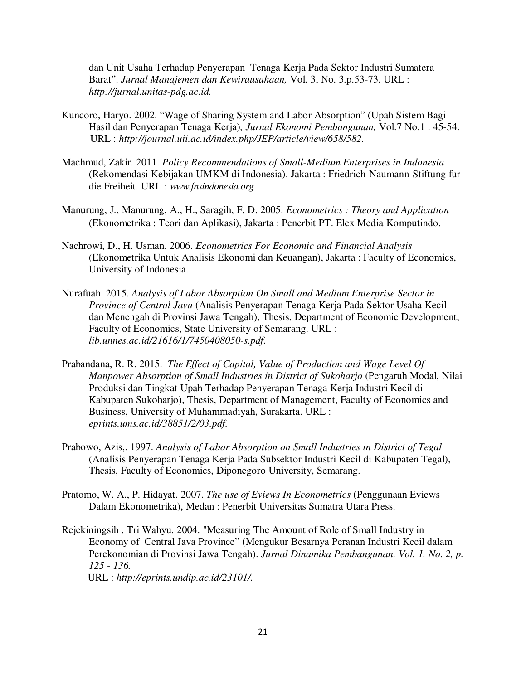dan Unit Usaha Terhadap Penyerapan Tenaga Kerja Pada Sektor Industri Sumatera Barat". *Jurnal Manajemen dan Kewirausahaan,* Vol. 3, No. 3.p.53-73. URL : *http://jurnal.unitas-pdg.ac.id.* 

- Kuncoro, Haryo. 2002. "Wage of Sharing System and Labor Absorption" (Upah Sistem Bagi Hasil dan Penyerapan Tenaga Kerja)*, Jurnal Ekonomi Pembangunan,* Vol.7 No.1 : 45-54. URL : *http://journal.uii.ac.id/index.php/JEP/article/view/658/582.*
- Machmud, Zakir. 2011. *Policy Recommendations of Small-Medium Enterprises in Indonesia*  (Rekomendasi Kebijakan UMKM di Indonesia). Jakarta : Friedrich-Naumann-Stiftung fur die Freiheit. URL : *www.fnsindonesia.org.*
- Manurung, J., Manurung, A., H., Saragih, F. D. 2005. *Econometrics : Theory and Application*  (Ekonometrika : Teori dan Aplikasi), Jakarta : Penerbit PT. Elex Media Komputindo.
- Nachrowi, D., H. Usman. 2006. *Econometrics For Economic and Financial Analysis* (Ekonometrika Untuk Analisis Ekonomi dan Keuangan), Jakarta : Faculty of Economics, University of Indonesia.
- Nurafuah. 2015. *Analysis of Labor Absorption On Small and Medium Enterprise Sector in Province of Central Java* (Analisis Penyerapan Tenaga Kerja Pada Sektor Usaha Kecil dan Menengah di Provinsi Jawa Tengah), Thesis, Department of Economic Development, Faculty of Economics, State University of Semarang. URL : *lib.unnes.ac.id/21616/1/7450408050-s.pdf.*
- Prabandana, R. R. 2015. *The Effect of Capital, Value of Production and Wage Level Of Manpower Absorption of Small Industries in District of Sukoharjo* (Pengaruh Modal, Nilai Produksi dan Tingkat Upah Terhadap Penyerapan Tenaga Kerja Industri Kecil di Kabupaten Sukoharjo), Thesis, Department of Management, Faculty of Economics and Business, University of Muhammadiyah, Surakarta. URL : *eprints.ums.ac.id/38851/2/03.pdf.*
- Prabowo, Azis,. 1997. *Analysis of Labor Absorption on Small Industries in District of Tegal* (Analisis Penyerapan Tenaga Kerja Pada Subsektor Industri Kecil di Kabupaten Tegal), Thesis, Faculty of Economics, Diponegoro University, Semarang.
- Pratomo, W. A., P. Hidayat. 2007. *The use of Eviews In Econometrics* (Penggunaan Eviews Dalam Ekonometrika), Medan : Penerbit Universitas Sumatra Utara Press.
- Rejekiningsih , Tri Wahyu. 2004. "Measuring The Amount of Role of Small Industry in Economy of Central Java Province" (Mengukur Besarnya Peranan Industri Kecil dalam Perekonomian di Provinsi Jawa Tengah). *Jurnal Dinamika Pembangunan. Vol. 1. No. 2, p. 125 - 136.* URL : *http://eprints.undip.ac.id/23101/.*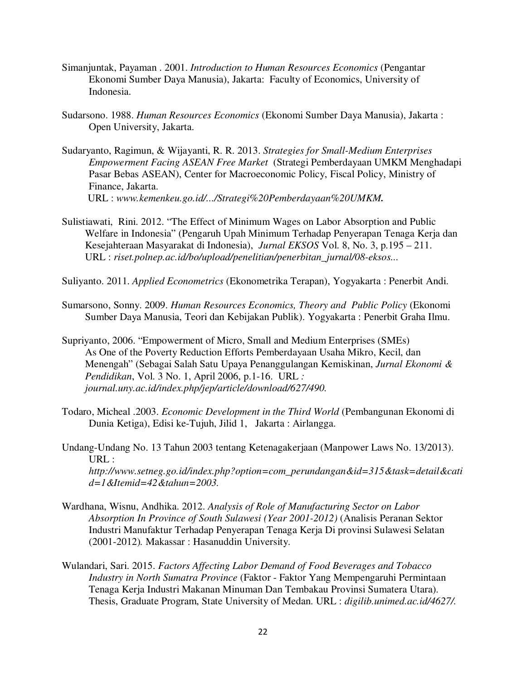- Simanjuntak, Payaman . 2001. *Introduction to Human Resources Economics* (Pengantar Ekonomi Sumber Daya Manusia), Jakarta: Faculty of Economics, University of Indonesia.
- Sudarsono. 1988. *Human Resources Economics* (Ekonomi Sumber Daya Manusia), Jakarta : Open University, Jakarta.
- Sudaryanto, Ragimun, & Wijayanti, R. R. 2013. *Strategies for Small-Medium Enterprises Empowerment Facing ASEAN Free Market* (Strategi Pemberdayaan UMKM Menghadapi Pasar Bebas ASEAN), Center for Macroeconomic Policy, Fiscal Policy, Ministry of Finance, Jakarta. URL : *www.kemenkeu.go.id/.../Strategi%20Pemberdayaan%20UMKM.*
- Sulistiawati, Rini. 2012. "The Effect of Minimum Wages on Labor Absorption and Public Welfare in Indonesia" (Pengaruh Upah Minimum Terhadap Penyerapan Tenaga Kerja dan Kesejahteraan Masyarakat di Indonesia), *Jurnal EKSOS* Vol. 8, No. 3, p.195 – 211. URL : *riset.polnep.ac.id/bo/upload/penelitian/penerbitan\_jurnal/08-eksos...*
- Suliyanto. 2011. *Applied Econometrics* (Ekonometrika Terapan), Yogyakarta : Penerbit Andi.
- Sumarsono, Sonny. 2009. *Human Resources Economics, Theory and Public Policy* (Ekonomi Sumber Daya Manusia, Teori dan Kebijakan Publik). Yogyakarta : Penerbit Graha Ilmu.
- Supriyanto, 2006. "Empowerment of Micro, Small and Medium Enterprises (SMEs) As One of the Poverty Reduction Efforts Pemberdayaan Usaha Mikro, Kecil, dan Menengah" (Sebagai Salah Satu Upaya Penanggulangan Kemiskinan, *Jurnal Ekonomi & Pendidikan*, Vol. 3 No. 1, April 2006, p.1-16. URL *: journal.uny.ac.id/index.php/jep/article/download/627/490.*
- Todaro, Micheal .2003. *Economic Development in the Third World* (Pembangunan Ekonomi di Dunia Ketiga), Edisi ke-Tujuh, Jilid 1,Jakarta : Airlangga.
- Undang-Undang No. 13 Tahun 2003 tentang Ketenagakerjaan (Manpower Laws No. 13/2013). URL : *http://www.setneg.go.id/index.php?option=com\_perundangan&id=315&task=detail&cati d=1&Itemid=42&tahun=2003.*
- Wardhana, Wisnu, Andhika. 2012. *Analysis of Role of Manufacturing Sector on Labor Absorption In Province of South Sulawesi (Year 2001-2012)* (Analisis Peranan Sektor Industri Manufaktur Terhadap Penyerapan Tenaga Kerja Di provinsi Sulawesi Selatan (2001-2012)*.* Makassar : Hasanuddin University.
- Wulandari, Sari. 2015. *Factors Affecting Labor Demand of Food Beverages and Tobacco Industry in North Sumatra Province* (Faktor - Faktor Yang Mempengaruhi Permintaan Tenaga Kerja Industri Makanan Minuman Dan Tembakau Provinsi Sumatera Utara). Thesis, Graduate Program, State University of Medan. URL : *digilib.unimed.ac.id/4627/.*